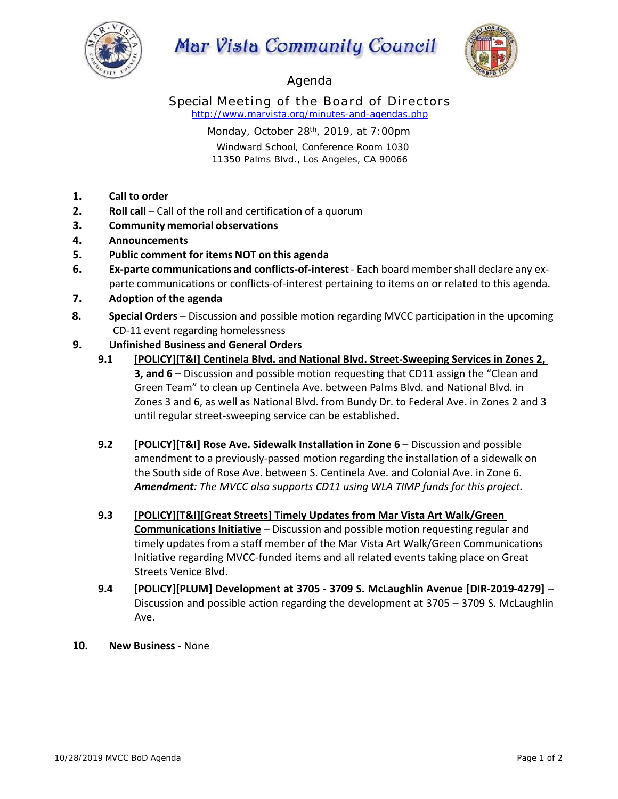

## **Mar Vista Community Council**



Agenda

Special Meeting of the Board of Directors *http://www.marvista.org/minutes-and-agendas.php*

> Monday, October 28<sup>th</sup>, 2019, at 7:00pm Windward School, Conference Room 1030 11350 Palms Blvd., Los Angeles, CA 90066

- **1. Call to order**
- **2. Roll call** Call of the roll and certification of a quorum
- **3. Community memorial observations**
- **4. Announcements**
- **5. Public comment for items NOT on this agenda**
- **6. Ex‐parte communications and conflicts‐of‐interest** ‐ Each board member shall declare any ex‐ parte communications or conflicts‐of‐interest pertaining to items on or related to this agenda.
- **7. Adoption of the agenda**
- **8. Special Orders** Discussion and possible motion regarding MVCC participation in the upcoming CD‐11 event regarding homelessness
- **9. Unfinished Business and General Orders** 
	- **9.1 [POLICY][T&I] Centinela Blvd. and National Blvd. Street‐Sweeping Services in Zones 2, 3, and 6** – Discussion and possible motion requesting that CD11 assign the "Clean and Green Team" to clean up Centinela Ave. between Palms Blvd. and National Blvd. in Zones 3 and 6, as well as National Blvd. from Bundy Dr. to Federal Ave. in Zones 2 and 3 until regular street‐sweeping service can be established.
	- **9.2 [POLICY][T&I] Rose Ave. Sidewalk Installation in Zone 6**  Discussion and possible amendment to a previously‐passed motion regarding the installation of a sidewalk on the South side of Rose Ave. between S. Centinela Ave. and Colonial Ave. in Zone 6. *Amendment: The MVCC also supports CD11 using WLA TIMP funds for this project.*
	- **9.3 [POLICY][T&I][Great Streets] Timely Updates from Mar Vista Art Walk/Green Communications Initiative** – Discussion and possible motion requesting regular and timely updates from a staff member of the Mar Vista Art Walk/Green Communications Initiative regarding MVCC‐funded items and all related events taking place on Great Streets Venice Blvd.
	- **9.4 [POLICY][PLUM] Development at 3705 ‐ 3709 S. McLaughlin Avenue [DIR‐2019‐4279]**  Discussion and possible action regarding the development at 3705 – 3709 S. McLaughlin Ave.
- **10. New Business** ‐ None